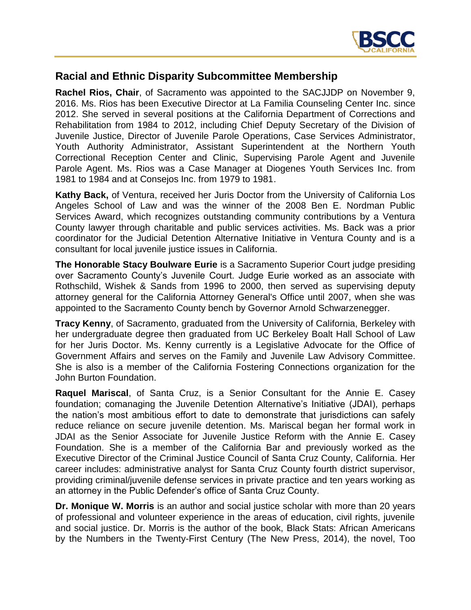

## **Racial and Ethnic Disparity Subcommittee Membership**

**Rachel Rios, Chair**, of Sacramento was appointed to the SACJJDP on November 9, 2016. Ms. Rios has been Executive Director at La Familia Counseling Center Inc. since 2012. She served in several positions at the California Department of Corrections and Rehabilitation from 1984 to 2012, including Chief Deputy Secretary of the Division of Juvenile Justice, Director of Juvenile Parole Operations, Case Services Administrator, Youth Authority Administrator, Assistant Superintendent at the Northern Youth Correctional Reception Center and Clinic, Supervising Parole Agent and Juvenile Parole Agent. Ms. Rios was a Case Manager at Diogenes Youth Services Inc. from 1981 to 1984 and at Consejos Inc. from 1979 to 1981.

**Kathy Back,** of Ventura, received her Juris Doctor from the University of California Los Angeles School of Law and was the winner of the 2008 Ben E. Nordman Public Services Award, which recognizes outstanding community contributions by a Ventura County lawyer through charitable and public services activities. Ms. Back was a prior coordinator for the Judicial Detention Alternative Initiative in Ventura County and is a consultant for local juvenile justice issues in California.

**The Honorable Stacy Boulware Eurie** is a Sacramento Superior Court judge presiding over Sacramento County's Juvenile Court. Judge Eurie worked as an associate with Rothschild, Wishek & Sands from 1996 to 2000, then served as supervising deputy attorney general for the California Attorney General's Office until 2007, when she was appointed to the Sacramento County bench by Governor Arnold Schwarzenegger.

**Tracy Kenny**, of Sacramento, graduated from the University of California, Berkeley with her undergraduate degree then graduated from UC Berkeley Boalt Hall School of Law for her Juris Doctor. Ms. Kenny currently is a Legislative Advocate for the Office of Government Affairs and serves on the Family and Juvenile Law Advisory Committee. She is also is a member of the California Fostering Connections organization for the John Burton Foundation.

**Raquel Mariscal**, of Santa Cruz, is a Senior Consultant for the Annie E. Casey foundation; comanaging the Juvenile Detention Alternative's Initiative (JDAI), perhaps the nation's most ambitious effort to date to demonstrate that jurisdictions can safely reduce reliance on secure juvenile detention. Ms. Mariscal began her formal work in JDAI as the Senior Associate for Juvenile Justice Reform with the Annie E. Casey Foundation. She is a member of the California Bar and previously worked as the Executive Director of the Criminal Justice Council of Santa Cruz County, California. Her career includes: administrative analyst for Santa Cruz County fourth district supervisor, providing criminal/juvenile defense services in private practice and ten years working as an attorney in the Public Defender's office of Santa Cruz County.

**Dr. Monique W. Morris** is an author and social justice scholar with more than 20 years of professional and volunteer experience in the areas of education, civil rights, juvenile and social justice. Dr. Morris is the author of the book, Black Stats: African Americans by the Numbers in the Twenty-First Century (The New Press, 2014), the novel, Too